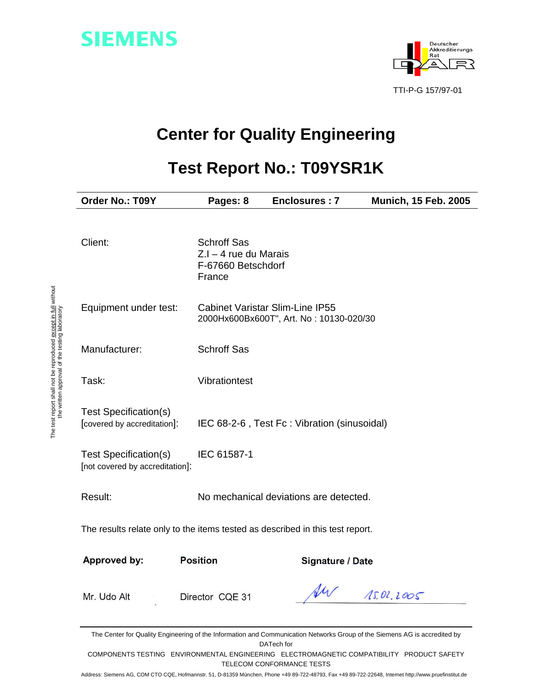



# **Center for Quality Engineering**

# **Test Report No.: T09YSR1K**

| Order No.: T09Y                                                               | Pages: 8                                                                      | Enclosures: 7                                                                     | <b>Munich, 15 Feb. 2005</b> |  |
|-------------------------------------------------------------------------------|-------------------------------------------------------------------------------|-----------------------------------------------------------------------------------|-----------------------------|--|
| Client:                                                                       | <b>Schroff Sas</b><br>$Z.I - 4$ rue du Marais<br>F-67660 Betschdorf<br>France |                                                                                   |                             |  |
| Equipment under test:                                                         |                                                                               | <b>Cabinet Varistar Slim-Line IP55</b><br>2000Hx600Bx600T", Art. No: 10130-020/30 |                             |  |
| Manufacturer:                                                                 | <b>Schroff Sas</b>                                                            |                                                                                   |                             |  |
| Task:                                                                         | Vibrationtest                                                                 |                                                                                   |                             |  |
| <b>Test Specification(s)</b><br>[covered by accreditation]:                   |                                                                               | IEC 68-2-6, Test Fc: Vibration (sinusoidal)                                       |                             |  |
| Test Specification(s)<br>[not covered by accreditation]:                      | IEC 61587-1                                                                   |                                                                                   |                             |  |
| Result:                                                                       |                                                                               | No mechanical deviations are detected.                                            |                             |  |
| The results relate only to the items tested as described in this test report. |                                                                               |                                                                                   |                             |  |
| Approved by:                                                                  | <b>Position</b>                                                               | Signature / Date                                                                  |                             |  |
| Mr. Udo Alt                                                                   | Director CQE 31                                                               | VW                                                                                | 15.01.2005                  |  |

The Center for Quality Engineering of the Information and Communication Networks Group of the Siemens AG is accredited by DATech for

COMPONENTS TESTING ENVIRONMENTAL ENGINEERING ELECTROMAGNETIC COMPATIBILITY PRODUCT SAFETY TELECOM CONFORMANCE TESTS

Address: Siemens AG, COM CTO CQE, Hofmannstr. 51, D-81359 München, Phone +49 89-722-48793, Fax +49 89-722-22648, Internet http://www.pruefinstitut.de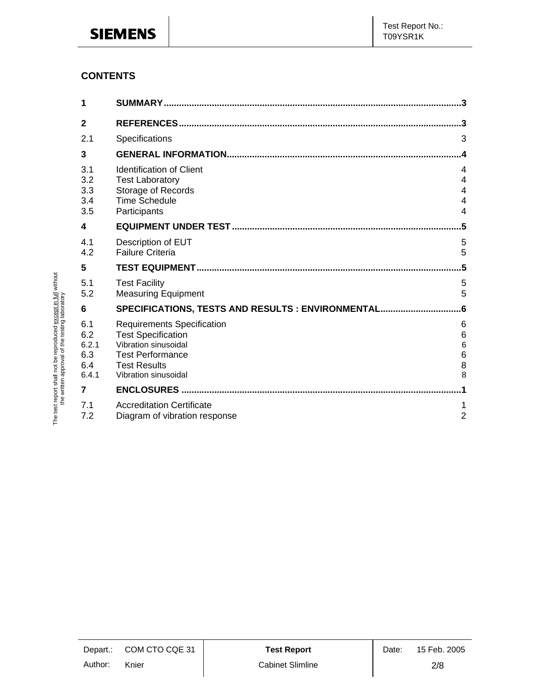### **CONTENTS**

The test report shall not be reproduced except in full without the written approval of the testing laboratory

The test report shall not be reproduced except in full without<br>the written approval of the testing laboratory

| 1                                          |                                                                                                                                                                  |                                                    |
|--------------------------------------------|------------------------------------------------------------------------------------------------------------------------------------------------------------------|----------------------------------------------------|
| 2                                          |                                                                                                                                                                  | 3                                                  |
| 2.1                                        | Specifications                                                                                                                                                   | 3                                                  |
| 3                                          |                                                                                                                                                                  |                                                    |
| 3.1<br>3.2<br>3.3<br>3.4<br>3.5            | <b>Identification of Client</b><br><b>Test Laboratory</b><br>Storage of Records<br><b>Time Schedule</b><br>Participants                                          | 4<br>4<br>4<br>$\overline{4}$<br>$\overline{4}$    |
| 4                                          |                                                                                                                                                                  | .5                                                 |
| 4.1<br>4.2                                 | Description of EUT<br><b>Failure Criteria</b>                                                                                                                    | 5<br>5                                             |
| 5                                          |                                                                                                                                                                  | .5                                                 |
|                                            |                                                                                                                                                                  |                                                    |
| 5.1<br>5.2                                 | <b>Test Facility</b><br><b>Measuring Equipment</b>                                                                                                               | 5<br>5                                             |
| 6                                          | SPECIFICATIONS, TESTS AND RESULTS : ENVIRONMENTAL                                                                                                                | 6                                                  |
| 6.1<br>6.2<br>6.2.1<br>6.3<br>6.4<br>6.4.1 | <b>Requirements Specification</b><br><b>Test Specification</b><br>Vibration sinusoidal<br><b>Test Performance</b><br><b>Test Results</b><br>Vibration sinusoidal | 6<br>$\,$ 6 $\,$<br>$6\phantom{1}6$<br>6<br>8<br>8 |
| 7                                          | <b>ENCLOSURES</b>                                                                                                                                                |                                                    |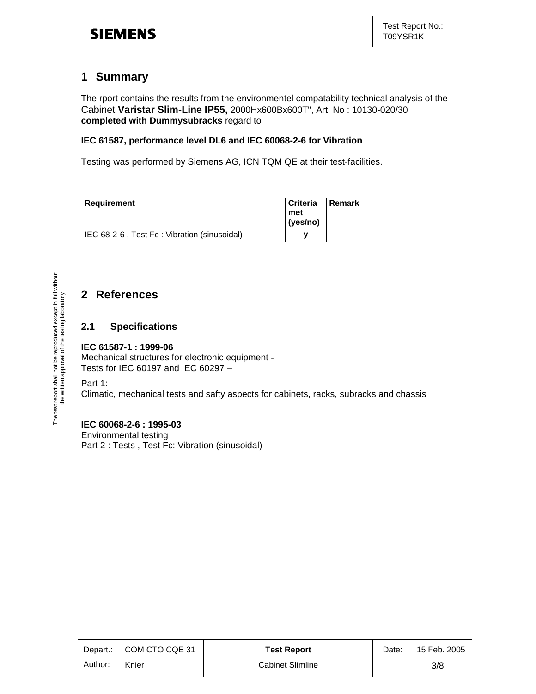### **1 Summary**

The rport contains the results from the environmentel compatability technical analysis of the Cabinet **Varistar Slim-Line IP55,** 2000Hx600Bx600T", Art. No : 10130-020/30 **completed with Dummysubracks** regard to

#### **IEC 61587, performance level DL6 and IEC 60068-2-6 for Vibration**

Testing was performed by Siemens AG, ICN TQM QE at their test-facilities.

| Requirement                                 | l Criteria<br>met<br>(ves/no) | Remark |
|---------------------------------------------|-------------------------------|--------|
| IEC 68-2-6, Test Fc: Vibration (sinusoidal) |                               |        |

## **2 References**

### **2.1 Specifications**

#### **IEC 61587-1 : 1999-06**

Mechanical structures for electronic equipment - Tests for IEC 60197 and IEC 60297 –

Part 1:

Climatic, mechanical tests and safty aspects for cabinets, racks, subracks and chassis

#### **IEC 60068-2-6 : 1995-03**

Environmental testing Part 2 : Tests , Test Fc: Vibration (sinusoidal)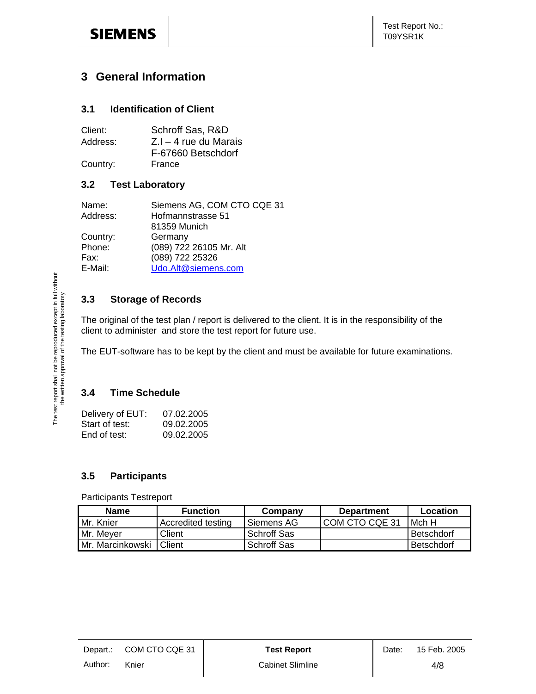### **3 General Information**

### **3.1 Identification of Client**

| Client:  | Schroff Sas, R&D        |
|----------|-------------------------|
| Address: | $Z.I - 4$ rue du Marais |
|          | F-67660 Betschdorf      |
| Country: | France                  |

#### **3.2 Test Laboratory**

| Name:    | Siemens AG, COM CTO CQE 31 |
|----------|----------------------------|
| Address: | Hofmannstrasse 51          |
|          | 81359 Munich               |
| Country: | Germany                    |
| Phone:   | (089) 722 26105 Mr. Alt    |
| Fax:     | (089) 722 25326            |
| E-Mail:  | Udo.Alt@siemens.com        |
|          |                            |

### **3.3 Storage of Records**

The original of the test plan / report is delivered to the client. It is in the responsibility of the client to administer and store the test report for future use.

The EUT-software has to be kept by the client and must be available for future examinations.

### **3.4 Time Schedule**

| Delivery of EUT: | 07.02.2005 |
|------------------|------------|
| Start of test:   | 09.02.2005 |
| End of test:     | 09.02.2005 |

### **3.5 Participants**

#### Participants Testreport

| <b>Name</b>      | <b>Function</b>    | Company      | <b>Department</b> | Location          |
|------------------|--------------------|--------------|-------------------|-------------------|
| Mr. Knier        | Accredited testing | l Siemens AG | I COM CTO CQE 31  | Mch H             |
| Mr. Meyer        | Client             | Schroff Sas  |                   | <b>Betschdorf</b> |
| Mr. Marcinkowski | Client             | Schroff Sas  |                   | <b>Betschdorf</b> |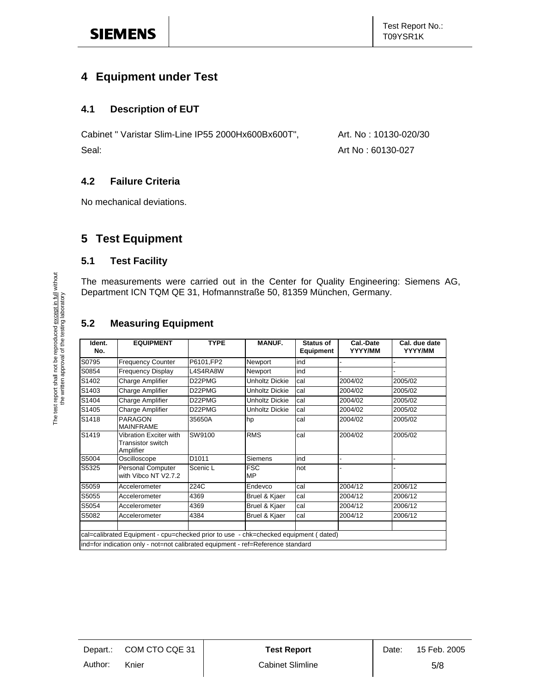### **4 Equipment under Test**

### **4.1 Description of EUT**

Cabinet " Varistar Slim-Line IP55 2000Hx600Bx600T", Art. No : 10130-020/30 Seal: Art No : 60130-027

### **4.2 Failure Criteria**

No mechanical deviations.

### **5 Test Equipment**

### **5.1 Test Facility**

The measurements were carried out in the Center for Quality Engineering: Siemens AG, Department ICN TQM QE 31, Hofmannstraße 50, 81359 München, Germany.

### **5.2 Measuring Equipment**

| Ident.<br>No. | <b>EQUIPMENT</b>                                                                                                                                                       | <b>TYPE</b>       | <b>MANUF.</b>           | Status of<br><b>Equipment</b> | Cal.-Date<br>YYYY/MM | Cal. due date<br>YYYY/MM |
|---------------|------------------------------------------------------------------------------------------------------------------------------------------------------------------------|-------------------|-------------------------|-------------------------------|----------------------|--------------------------|
| S0795         | <b>Frequency Counter</b>                                                                                                                                               | P6101,FP2         | Newport                 | ind                           |                      |                          |
| S0854         | <b>Frequency Display</b>                                                                                                                                               | L4S4RA8W          | Newport                 | ind                           |                      |                          |
| S1402         | Charge Amplifier                                                                                                                                                       | D22PMG            | <b>Unholtz Dickie</b>   | cal                           | 2004/02              | 2005/02                  |
| S1403         | Charge Amplifier                                                                                                                                                       | D22PMG            | <b>Unholtz Dickie</b>   | cal                           | 2004/02              | 2005/02                  |
| S1404         | Charge Amplifier                                                                                                                                                       | D22PMG            | <b>Unholtz Dickie</b>   | cal                           | 2004/02              | 2005/02                  |
| S1405         | Charge Amplifier                                                                                                                                                       | D22PMG            | Unholtz Dickie          | cal                           | 2004/02              | 2005/02                  |
| S1418         | PARAGON<br><b>MAINFRAME</b>                                                                                                                                            | 35650A            | hp                      | cal                           | 2004/02              | 2005/02                  |
| S1419         | Vibration Exciter with<br>Transistor switch<br>Amplifier                                                                                                               | SW9100            | <b>RMS</b>              | cal                           | 2004/02              | 2005/02                  |
| S5004         | Oscilloscope                                                                                                                                                           | D <sub>1011</sub> | Siemens                 | ind                           |                      |                          |
| S5325         | <b>Personal Computer</b><br>with Vibco NT V2.7.2                                                                                                                       | Scenic L          | <b>FSC</b><br><b>MP</b> | not                           |                      |                          |
| S5059         | Accelerometer                                                                                                                                                          | 224C              | Endevco                 | cal                           | 2004/12              | 2006/12                  |
| S5055         | Accelerometer                                                                                                                                                          | 4369              | Bruel & Kjaer           | cal                           | 2004/12              | 2006/12                  |
| S5054         | Accelerometer                                                                                                                                                          | 4369              | Bruel & Kjaer           | cal                           | 2004/12              | 2006/12                  |
| S5082         | Accelerometer                                                                                                                                                          | 4384              | Bruel & Kjaer           | cal                           | 2004/12              | 2006/12                  |
|               | cal=calibrated Equipment - cpu=checked prior to use - chk=checked equipment (dated)<br>ind=for indication only - not=not calibrated equipment - ref=Reference standard |                   |                         |                               |                      |                          |
|               |                                                                                                                                                                        |                   |                         |                               |                      |                          |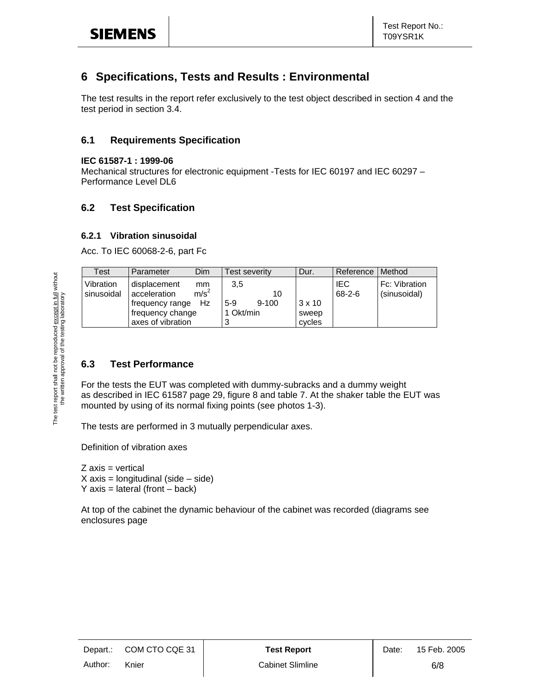### **6 Specifications, Tests and Results : Environmental**

The test results in the report refer exclusively to the test object described in section 4 and the test period in section 3.4.

#### **6.1 Requirements Specification**

#### **IEC 61587-1 : 1999-06**

Mechanical structures for electronic equipment -Tests for IEC 60197 and IEC 60297 – Performance Level DL6

### **6.2 Test Specification**

#### **6.2.1 Vibration sinusoidal**

Acc. To IEC 60068-2-6, part Fc

| Test                    | Dim<br>Parameter                                                                                                          | Test severity                                | Dur.                             | Reference                  | Method                        |
|-------------------------|---------------------------------------------------------------------------------------------------------------------------|----------------------------------------------|----------------------------------|----------------------------|-------------------------------|
| Vibration<br>sinusoidal | displacement<br>mm<br>m/s <sup>2</sup><br>acceleration<br>Hz.<br>frequency range<br>frequency change<br>axes of vibration | 3,5<br>10<br>$9 - 100$<br>$5-9$<br>1 Okt/min | $3 \times 10$<br>sweep<br>cycles | <b>IEC</b><br>$68 - 2 - 6$ | Fc: Vibration<br>(sinusoidal) |

### **6.3 Test Performance**

For the tests the EUT was completed with dummy-subracks and a dummy weight as described in IEC 61587 page 29, figure 8 and table 7. At the shaker table the EUT was mounted by using of its normal fixing points (see photos 1-3).

The tests are performed in 3 mutually perpendicular axes.

Definition of vibration axes

 $Z$  axis = vertical  $X$  axis = longitudinal (side – side)  $Y$  axis = lateral (front – back)

At top of the cabinet the dynamic behaviour of the cabinet was recorded (diagrams see enclosures page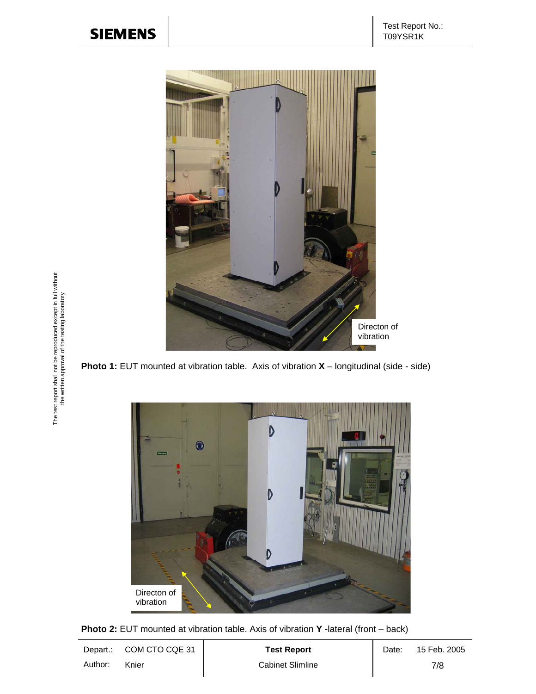

**Photo 1:** EUT mounted at vibration table. Axis of vibration **X** – longitudinal (side - side)



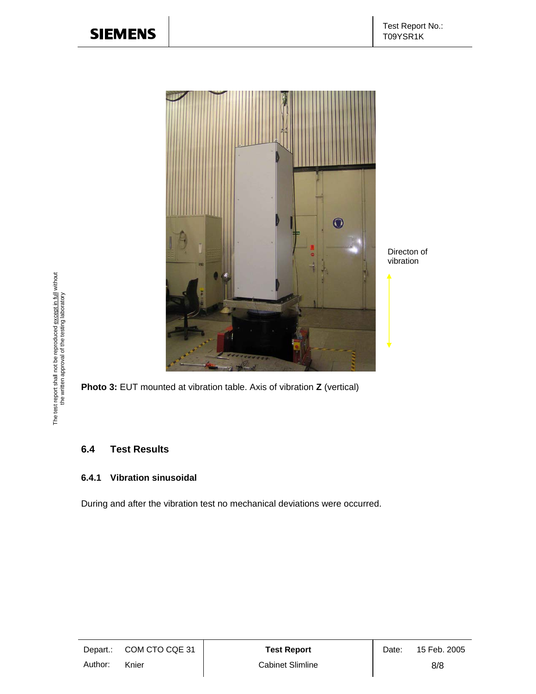

Directon of vibration

**Photo 3:** EUT mounted at vibration table. Axis of vibration **Z** (vertical)

### **6.4 Test Results**

#### **6.4.1 Vibration sinusoidal**

During and after the vibration test no mechanical deviations were occurred.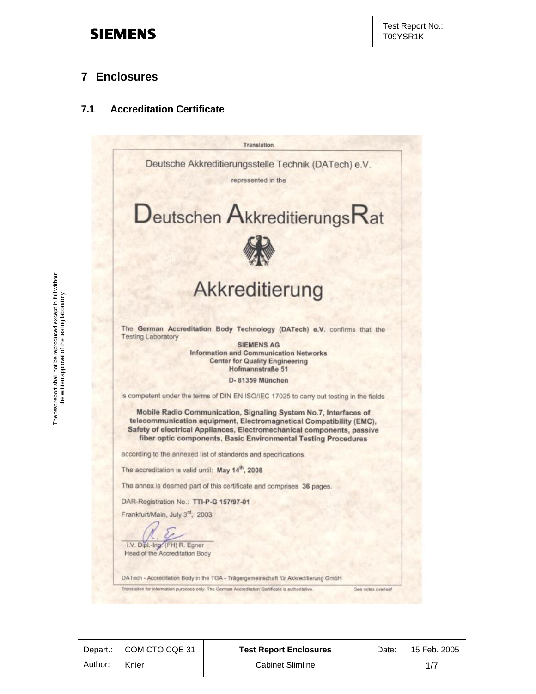### **7 Enclosures**

### **7.1 Accreditation Certificate**

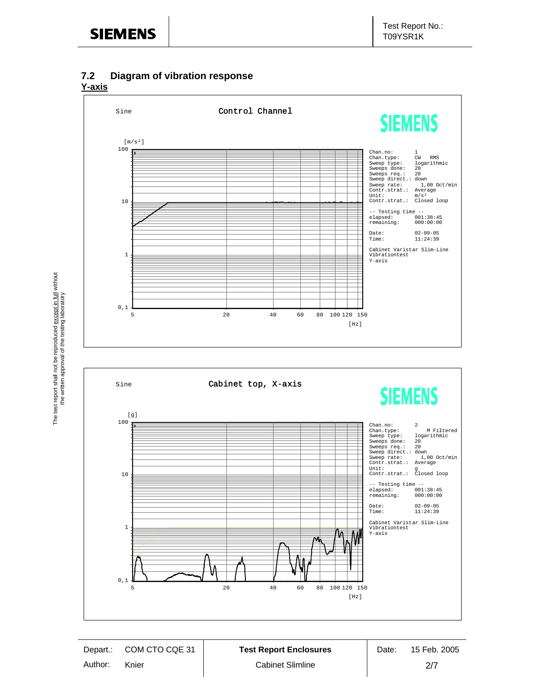### **7.2 Diagram of vibration response**

**Y-axis**

The test report shall not be reproduced except in full without the written approval of the testing laboratory

The test report shall not be reproduced <u>except in full</u> without<br>the written approval of the testing laboratory

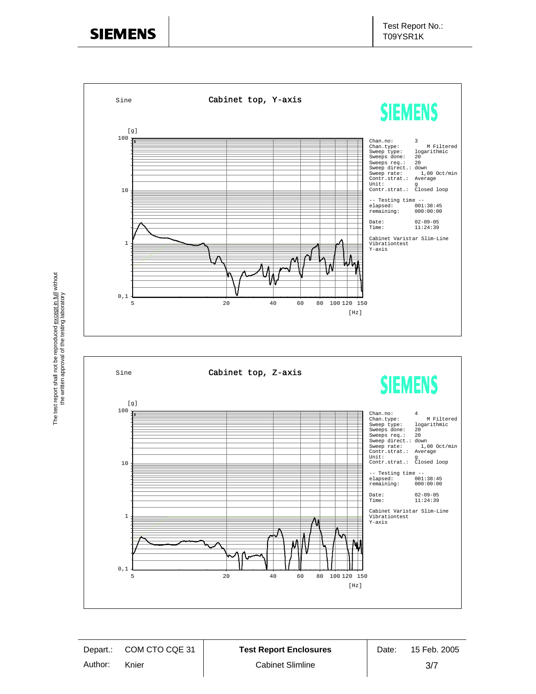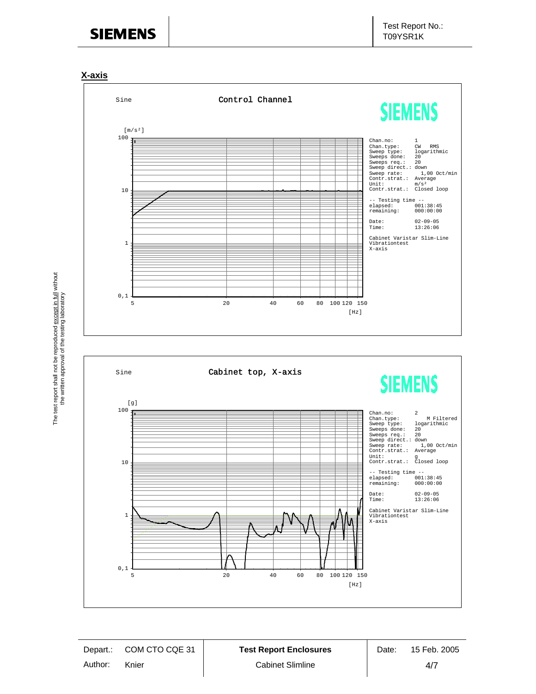

The test report shall not be reproduced except in full without the written approval of the testing laboratory

The test report shall not be reproduced <u>except in full</u> without<br>the written approval of the testing laboratory

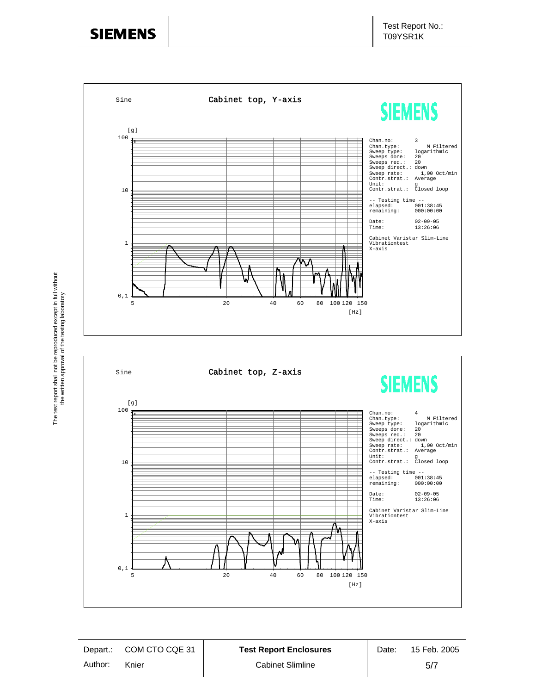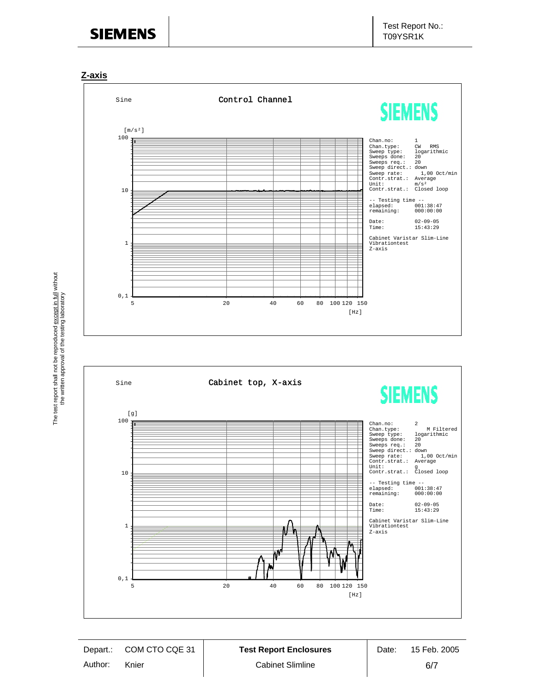



The test report shall not be reproduced except in full without the written approval of the testing laboratory

The test report shall not be reproduced except in full without<br>the written approval of the testing laboratory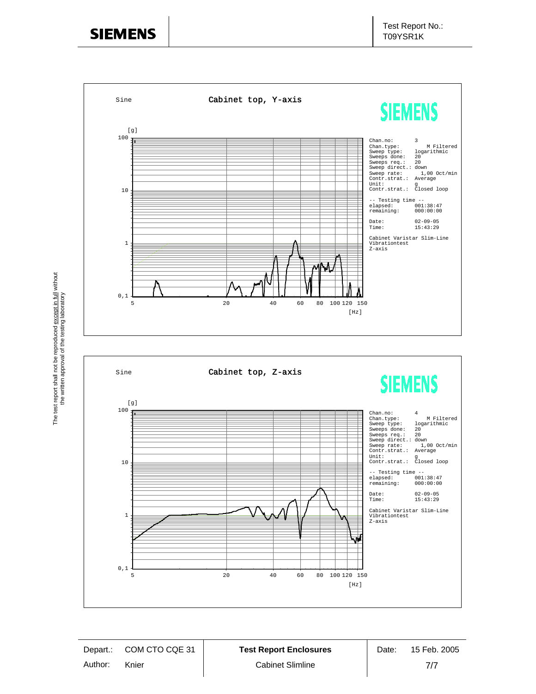